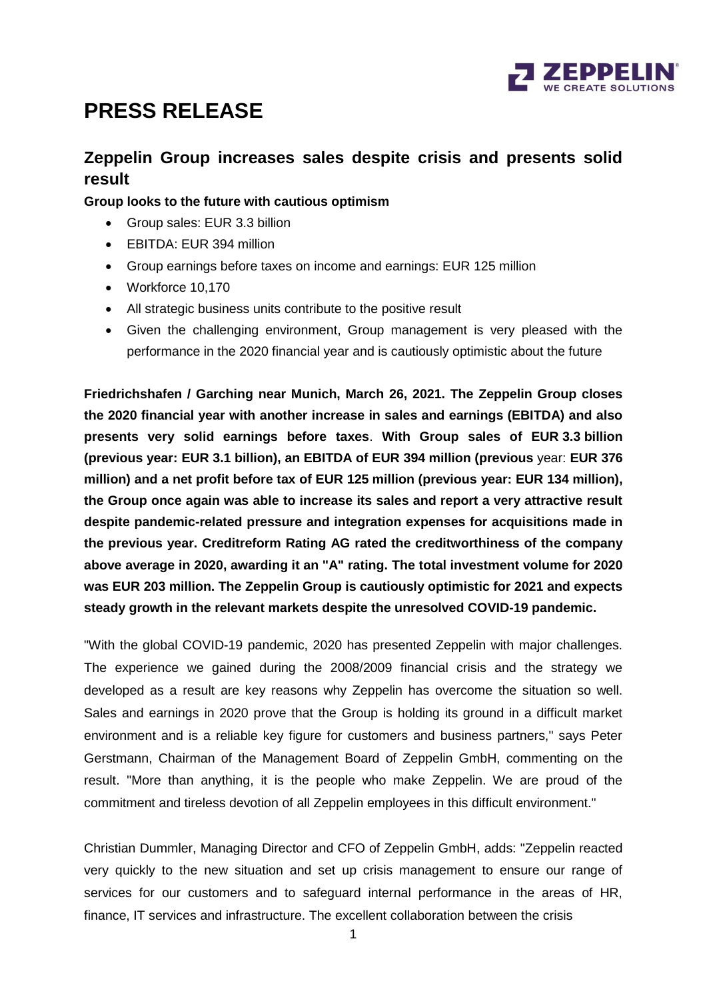

# **PRESS RELEASE**

## **Zeppelin Group increases sales despite crisis and presents solid result**

### **Group looks to the future with cautious optimism**

- Group sales: EUR 3.3 billion
- FBITDA: FUR 394 million
- Group earnings before taxes on income and earnings: EUR 125 million
- Workforce 10,170
- All strategic business units contribute to the positive result
- Given the challenging environment, Group management is very pleased with the performance in the 2020 financial year and is cautiously optimistic about the future

**Friedrichshafen / Garching near Munich, March 26, 2021. The Zeppelin Group closes the 2020 financial year with another increase in sales and earnings (EBITDA) and also presents very solid earnings before taxes**. **With Group sales of EUR 3.3 billion (previous year: EUR 3.1 billion), an EBITDA of EUR 394 million (previous** year: **EUR 376 million) and a net profit before tax of EUR 125 million (previous year: EUR 134 million), the Group once again was able to increase its sales and report a very attractive result despite pandemic-related pressure and integration expenses for acquisitions made in the previous year. Creditreform Rating AG rated the creditworthiness of the company above average in 2020, awarding it an "A" rating. The total investment volume for 2020 was EUR 203 million. The Zeppelin Group is cautiously optimistic for 2021 and expects steady growth in the relevant markets despite the unresolved COVID-19 pandemic.**

"With the global COVID-19 pandemic, 2020 has presented Zeppelin with major challenges. The experience we gained during the 2008/2009 financial crisis and the strategy we developed as a result are key reasons why Zeppelin has overcome the situation so well. Sales and earnings in 2020 prove that the Group is holding its ground in a difficult market environment and is a reliable key figure for customers and business partners," says Peter Gerstmann, Chairman of the Management Board of Zeppelin GmbH, commenting on the result. "More than anything, it is the people who make Zeppelin. We are proud of the commitment and tireless devotion of all Zeppelin employees in this difficult environment."

Christian Dummler, Managing Director and CFO of Zeppelin GmbH, adds: "Zeppelin reacted very quickly to the new situation and set up crisis management to ensure our range of services for our customers and to safeguard internal performance in the areas of HR, finance, IT services and infrastructure. The excellent collaboration between the crisis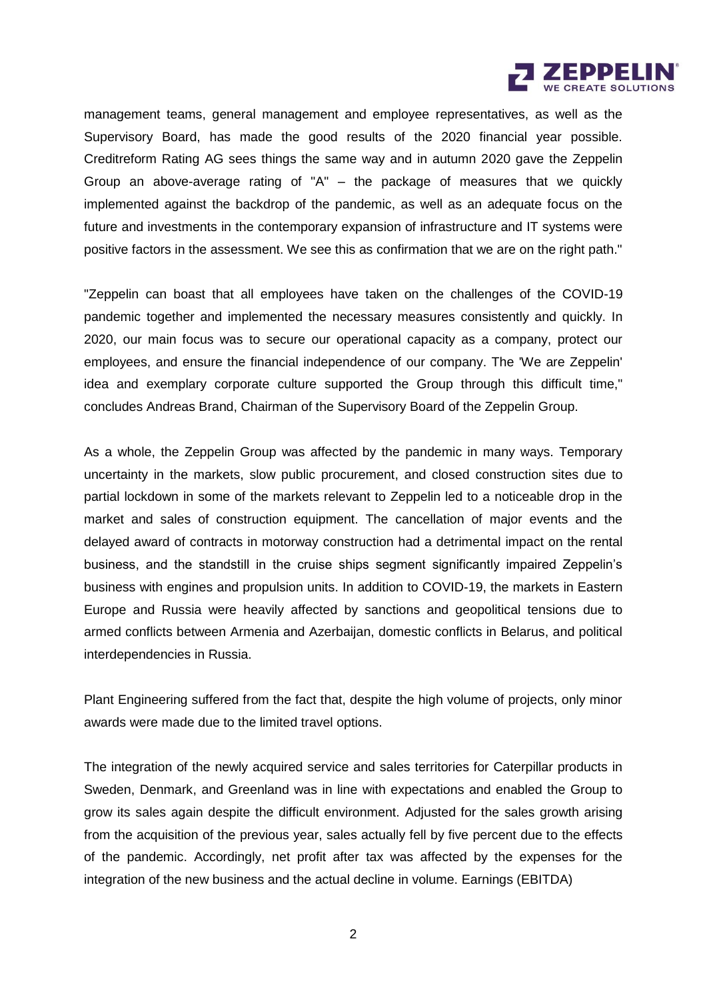

management teams, general management and employee representatives, as well as the Supervisory Board, has made the good results of the 2020 financial year possible. Creditreform Rating AG sees things the same way and in autumn 2020 gave the Zeppelin Group an above-average rating of "A" – the package of measures that we quickly implemented against the backdrop of the pandemic, as well as an adequate focus on the future and investments in the contemporary expansion of infrastructure and IT systems were positive factors in the assessment. We see this as confirmation that we are on the right path."

"Zeppelin can boast that all employees have taken on the challenges of the COVID-19 pandemic together and implemented the necessary measures consistently and quickly. In 2020, our main focus was to secure our operational capacity as a company, protect our employees, and ensure the financial independence of our company. The 'We are Zeppelin' idea and exemplary corporate culture supported the Group through this difficult time," concludes Andreas Brand, Chairman of the Supervisory Board of the Zeppelin Group.

As a whole, the Zeppelin Group was affected by the pandemic in many ways. Temporary uncertainty in the markets, slow public procurement, and closed construction sites due to partial lockdown in some of the markets relevant to Zeppelin led to a noticeable drop in the market and sales of construction equipment. The cancellation of major events and the delayed award of contracts in motorway construction had a detrimental impact on the rental business, and the standstill in the cruise ships segment significantly impaired Zeppelin's business with engines and propulsion units. In addition to COVID-19, the markets in Eastern Europe and Russia were heavily affected by sanctions and geopolitical tensions due to armed conflicts between Armenia and Azerbaijan, domestic conflicts in Belarus, and political interdependencies in Russia.

Plant Engineering suffered from the fact that, despite the high volume of projects, only minor awards were made due to the limited travel options.

The integration of the newly acquired service and sales territories for Caterpillar products in Sweden, Denmark, and Greenland was in line with expectations and enabled the Group to grow its sales again despite the difficult environment. Adjusted for the sales growth arising from the acquisition of the previous year, sales actually fell by five percent due to the effects of the pandemic. Accordingly, net profit after tax was affected by the expenses for the integration of the new business and the actual decline in volume. Earnings (EBITDA)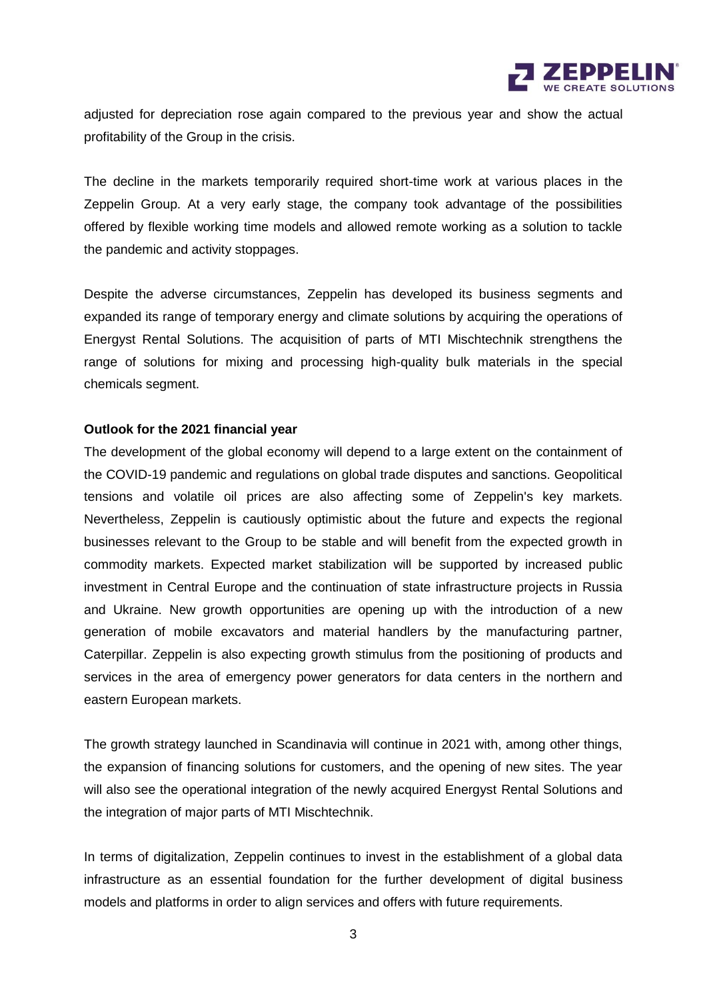

adjusted for depreciation rose again compared to the previous year and show the actual profitability of the Group in the crisis.

The decline in the markets temporarily required short-time work at various places in the Zeppelin Group. At a very early stage, the company took advantage of the possibilities offered by flexible working time models and allowed remote working as a solution to tackle the pandemic and activity stoppages.

Despite the adverse circumstances, Zeppelin has developed its business segments and expanded its range of temporary energy and climate solutions by acquiring the operations of Energyst Rental Solutions. The acquisition of parts of MTI Mischtechnik strengthens the range of solutions for mixing and processing high-quality bulk materials in the special chemicals segment.

#### **Outlook for the 2021 financial year**

The development of the global economy will depend to a large extent on the containment of the COVID-19 pandemic and regulations on global trade disputes and sanctions. Geopolitical tensions and volatile oil prices are also affecting some of Zeppelin's key markets. Nevertheless, Zeppelin is cautiously optimistic about the future and expects the regional businesses relevant to the Group to be stable and will benefit from the expected growth in commodity markets. Expected market stabilization will be supported by increased public investment in Central Europe and the continuation of state infrastructure projects in Russia and Ukraine. New growth opportunities are opening up with the introduction of a new generation of mobile excavators and material handlers by the manufacturing partner, Caterpillar. Zeppelin is also expecting growth stimulus from the positioning of products and services in the area of emergency power generators for data centers in the northern and eastern European markets.

The growth strategy launched in Scandinavia will continue in 2021 with, among other things, the expansion of financing solutions for customers, and the opening of new sites. The year will also see the operational integration of the newly acquired Energyst Rental Solutions and the integration of major parts of MTI Mischtechnik.

In terms of digitalization, Zeppelin continues to invest in the establishment of a global data infrastructure as an essential foundation for the further development of digital business models and platforms in order to align services and offers with future requirements.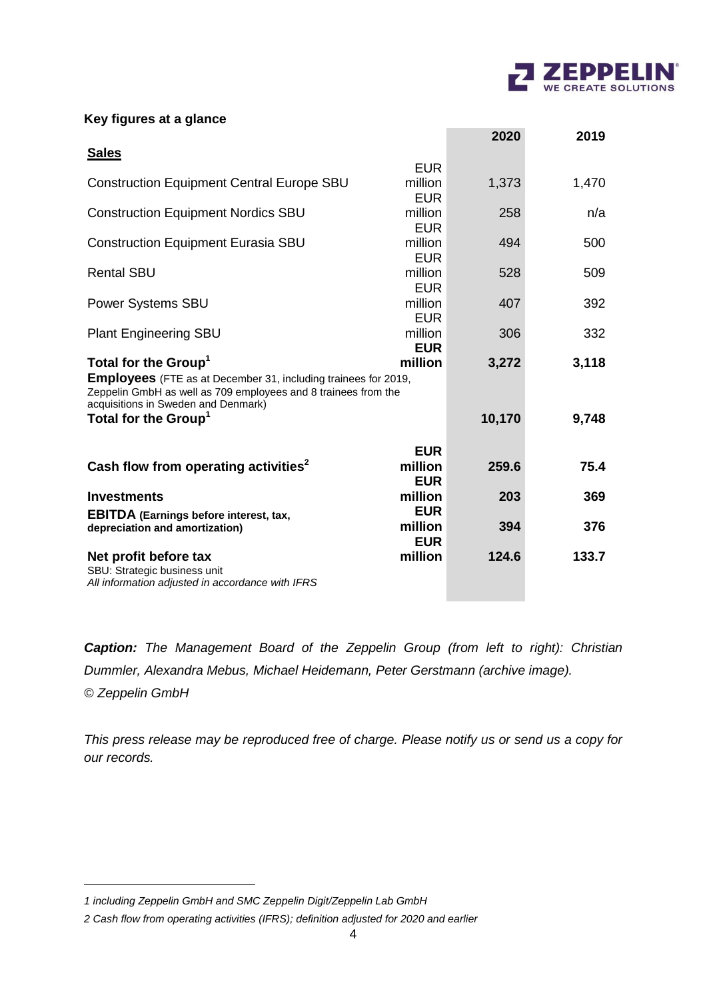

#### **Key figures at a glance**

|                                                                       |            | 2020   | 2019  |
|-----------------------------------------------------------------------|------------|--------|-------|
| <b>Sales</b>                                                          |            |        |       |
|                                                                       | <b>EUR</b> |        |       |
| <b>Construction Equipment Central Europe SBU</b>                      | million    | 1,373  | 1,470 |
|                                                                       | <b>EUR</b> |        |       |
| <b>Construction Equipment Nordics SBU</b>                             | million    | 258    | n/a   |
|                                                                       | <b>EUR</b> |        |       |
| <b>Construction Equipment Eurasia SBU</b>                             | million    | 494    | 500   |
|                                                                       | <b>EUR</b> |        |       |
| <b>Rental SBU</b>                                                     | million    | 528    | 509   |
|                                                                       | <b>EUR</b> |        |       |
| <b>Power Systems SBU</b>                                              | million    | 407    | 392   |
|                                                                       | <b>EUR</b> |        |       |
| <b>Plant Engineering SBU</b>                                          | million    | 306    | 332   |
|                                                                       | <b>EUR</b> |        |       |
| Total for the Group <sup>1</sup>                                      | million    | 3,272  | 3,118 |
| <b>Employees</b> (FTE as at December 31, including trainees for 2019, |            |        |       |
| Zeppelin GmbH as well as 709 employees and 8 trainees from the        |            |        |       |
| acquisitions in Sweden and Denmark)                                   |            |        |       |
| Total for the Group <sup>1</sup>                                      |            | 10,170 | 9,748 |
|                                                                       |            |        |       |
|                                                                       | <b>EUR</b> |        |       |
| Cash flow from operating activities <sup>2</sup>                      | million    | 259.6  | 75.4  |
|                                                                       | <b>EUR</b> |        |       |
| <b>Investments</b>                                                    | million    | 203    | 369   |
| <b>EBITDA</b> (Earnings before interest, tax,                         | <b>EUR</b> |        |       |
| depreciation and amortization)                                        | million    | 394    | 376   |
|                                                                       | <b>EUR</b> |        |       |
| Net profit before tax<br>SBU: Strategic business unit                 | million    | 124.6  | 133.7 |
| All information adjusted in accordance with IFRS                      |            |        |       |
|                                                                       |            |        |       |

*Caption: The Management Board of the Zeppelin Group (from left to right): Christian Dummler, Alexandra Mebus, Michael Heidemann, Peter Gerstmann (archive image). © Zeppelin GmbH*

*This press release may be reproduced free of charge. Please notify us or send us a copy for our records.*

1

*<sup>1</sup> including Zeppelin GmbH and SMC Zeppelin Digit/Zeppelin Lab GmbH*

*<sup>2</sup> Cash flow from operating activities (IFRS); definition adjusted for 2020 and earlier*